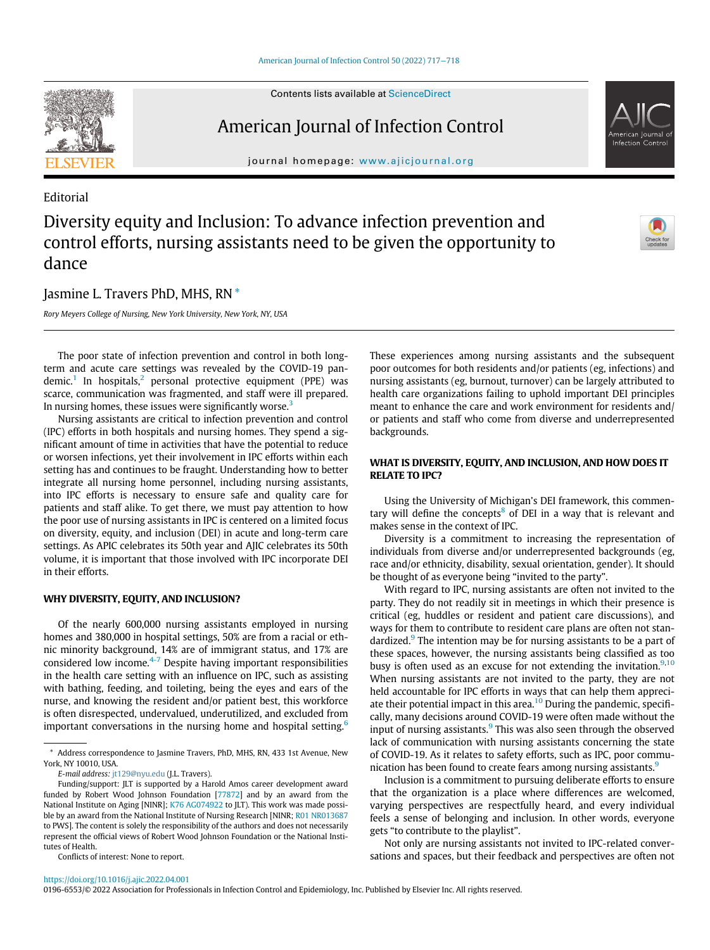# American Journal of Infection Control

journal homepage: [www.ajicjournal.org](http://www.ajicjournal.org)

### Editorial

# Diversity equity and Inclusion: To advance infection prevention and control efforts, nursing assistants need to be given the opportunity to dance

## Jasmine L. Travers PhD, MHS, RN [\\*](#page-0-0)

Rory Meyers College of Nursing, New York University, New York, NY, USA

The poor state of infection prevention and control in both longterm and acute care settings was revealed by the COVID-19 pan $d$ emic.<sup>[1](#page-1-0)</sup> In hospitals,<sup>[2](#page-1-1)</sup> personal protective equipment (PPE) was scarce, communication was fragmented, and staff were ill prepared. In nursing homes, these issues were significantly worse.<sup>[3](#page-1-2)</sup>

Nursing assistants are critical to infection prevention and control (IPC) efforts in both hospitals and nursing homes. They spend a significant amount of time in activities that have the potential to reduce or worsen infections, yet their involvement in IPC efforts within each setting has and continues to be fraught. Understanding how to better integrate all nursing home personnel, including nursing assistants, into IPC efforts is necessary to ensure safe and quality care for patients and staff alike. To get there, we must pay attention to how the poor use of nursing assistants in IPC is centered on a limited focus on diversity, equity, and inclusion (DEI) in acute and long-term care settings. As APIC celebrates its 50th year and AJIC celebrates its 50th volume, it is important that those involved with IPC incorporate DEI in their efforts.

### WHY DIVERSITY, EQUITY, AND INCLUSION?

Of the nearly 600,000 nursing assistants employed in nursing homes and 380,000 in hospital settings, 50% are from a racial or ethnic minority background, 14% are of immigrant status, and 17% are considered low income.[4-7](#page-1-3) Despite having important responsibilities in the health care setting with an influence on IPC, such as assisting with bathing, feeding, and toileting, being the eyes and ears of the nurse, and knowing the resident and/or patient best, this workforce is often disrespected, undervalued, underutilized, and excluded from important conversations in the nursing home and hospital setting. $6$ 

E-mail address: [jt129@nyu.edu](mailto:jt129@nyu.edu) (J.L. Travers).

Conflicts of interest: None to report.

These experiences among nursing assistants and the subsequent poor outcomes for both residents and/or patients (eg, infections) and nursing assistants (eg, burnout, turnover) can be largely attributed to health care organizations failing to uphold important DEI principles meant to enhance the care and work environment for residents and/ or patients and staff who come from diverse and underrepresented backgrounds.

#### WHAT IS DIVERSITY, EQUITY, AND INCLUSION, AND HOW DOES IT RELATE TO IPC?

Using the University of Michigan's DEI framework, this commen-tary will define the concepts<sup>[8](#page-1-5)</sup> of DEI in a way that is relevant and makes sense in the context of IPC.

Diversity is a commitment to increasing the representation of individuals from diverse and/or underrepresented backgrounds (eg, race and/or ethnicity, disability, sexual orientation, gender). It should be thought of as everyone being "invited to the party".

With regard to IPC, nursing assistants are often not invited to the party. They do not readily sit in meetings in which their presence is critical (eg, huddles or resident and patient care discussions), and ways for them to contribute to resident care plans are often not stan-dardized.<sup>[9](#page-1-6)</sup> The intention may be for nursing assistants to be a part of these spaces, however, the nursing assistants being classified as too busy is often used as an excuse for not extending the invitation. $9,10$  $9,10$ When nursing assistants are not invited to the party, they are not held accountable for IPC efforts in ways that can help them appreci-ate their potential impact in this area.<sup>[10](#page-1-7)</sup> During the pandemic, specifically, many decisions around COVID-19 were often made without the input of nursing assistants. $9$  This was also seen through the observed lack of communication with nursing assistants concerning the state of COVID-19. As it relates to safety efforts, such as IPC, poor commu-nication has been found to create fears among nursing assistants.<sup>[9](#page-1-6)</sup>

Inclusion is a commitment to pursuing deliberate efforts to ensure that the organization is a place where differences are welcomed, varying perspectives are respectfully heard, and every individual feels a sense of belonging and inclusion. In other words, everyone gets "to contribute to the playlist".

Not only are nursing assistants not invited to IPC-related conversations and spaces, but their feedback and perspectives are often not

0196-6553/© 2022 Association for Professionals in Infection Control and Epidemiology, Inc. Published by Elsevier Inc. All rights reserved.





<span id="page-0-0"></span><sup>\*</sup> Address correspondence to Jasmine Travers, PhD, MHS, RN, 433 1st Avenue, New York, NY 10010, USA.

<span id="page-0-2"></span><span id="page-0-1"></span>Funding/support: JLT is supported by a Harold Amos career development award funded by Robert Wood Johnson Foundation [\[77872\]](#page-0-1) and by an award from the National Institute on Aging [NINR]; [K76 AG074922](#page-0-1) to JLT). This work was made possible by an award from the National Institute of Nursing Research [NINR; [R01 NR013687](#page-0-2) to PWS]. The content is solely the responsibility of the authors and does not necessarily represent the official views of Robert Wood Johnson Foundation or the National Institutes of Health.